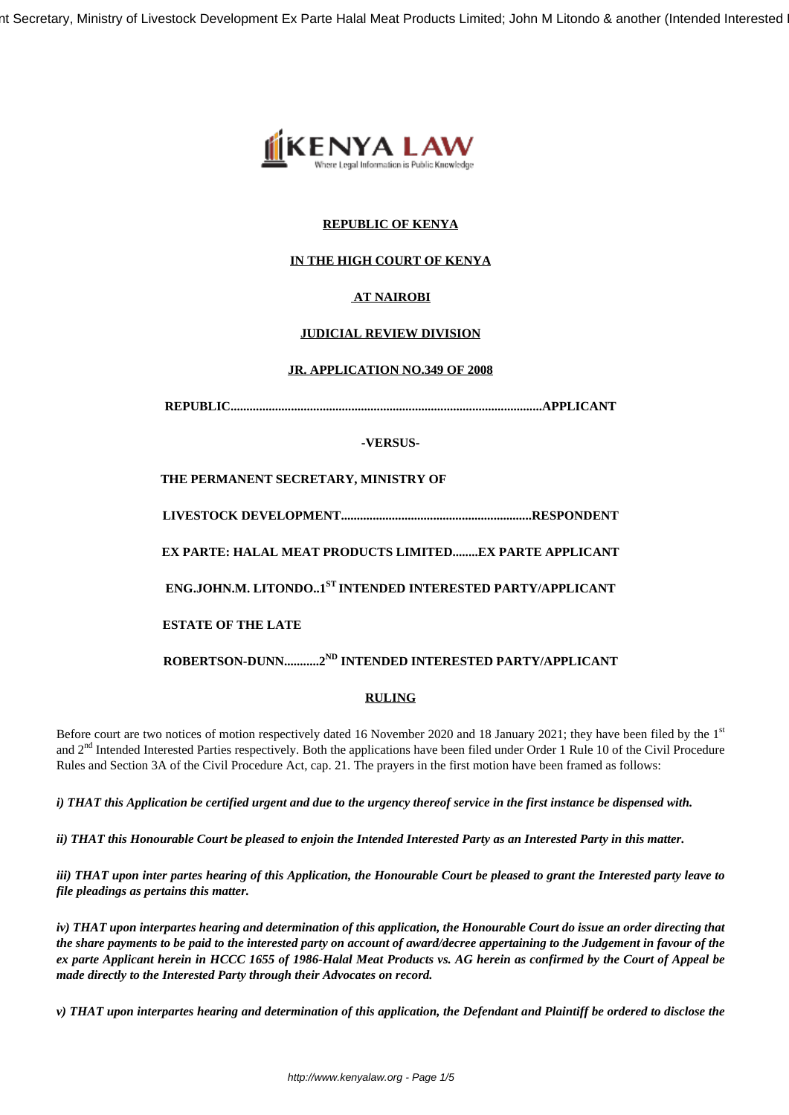nt Secretary, Ministry of Livestock Development Ex Parte Halal Meat Products Limited; John M Litondo & another (Intended Interested



# **REPUBLIC OF KENYA**

# **IN THE HIGH COURT OF KENYA**

# **AT NAIROBI**

# **JUDICIAL REVIEW DIVISION**

#### **JR. APPLICATION NO.349 OF 2008**

**REPUBLIC..................................................................................................APPLICANT**

#### **-VERSUS-**

**THE PERMANENT SECRETARY, MINISTRY OF**

**LIVESTOCK DEVELOPMENT............................................................RESPONDENT**

**EX PARTE: HALAL MEAT PRODUCTS LIMITED........EX PARTE APPLICANT**

**ENG.JOHN.M. LITONDO..1ST INTENDED INTERESTED PARTY/APPLICANT**

**ESTATE OF THE LATE**

**ROBERTSON-DUNN...........2ND INTENDED INTERESTED PARTY/APPLICANT**

# **RULING**

Before court are two notices of motion respectively dated 16 November 2020 and 18 January 2021; they have been filed by the 1st and  $2<sup>nd</sup>$  Intended Interested Parties respectively. Both the applications have been filed under Order 1 Rule 10 of the Civil Procedure Rules and Section 3A of the Civil Procedure Act, cap. 21. The prayers in the first motion have been framed as follows:

*i) THAT this Application be certified urgent and due to the urgency thereof service in the first instance be dispensed with.*

*ii) THAT this Honourable Court be pleased to enjoin the Intended Interested Party as an Interested Party in this matter.*

*iii) THAT upon inter partes hearing of this Application, the Honourable Court be pleased to grant the Interested party leave to file pleadings as pertains this matter.*

*iv) THAT upon interpartes hearing and determination of this application, the Honourable Court do issue an order directing that the share payments to be paid to the interested party on account of award/decree appertaining to the Judgement in favour of the ex parte Applicant herein in HCCC 1655 of 1986-Halal Meat Products vs. AG herein as confirmed by the Court of Appeal be made directly to the Interested Party through their Advocates on record.*

*v) THAT upon interpartes hearing and determination of this application, the Defendant and Plaintiff be ordered to disclose the*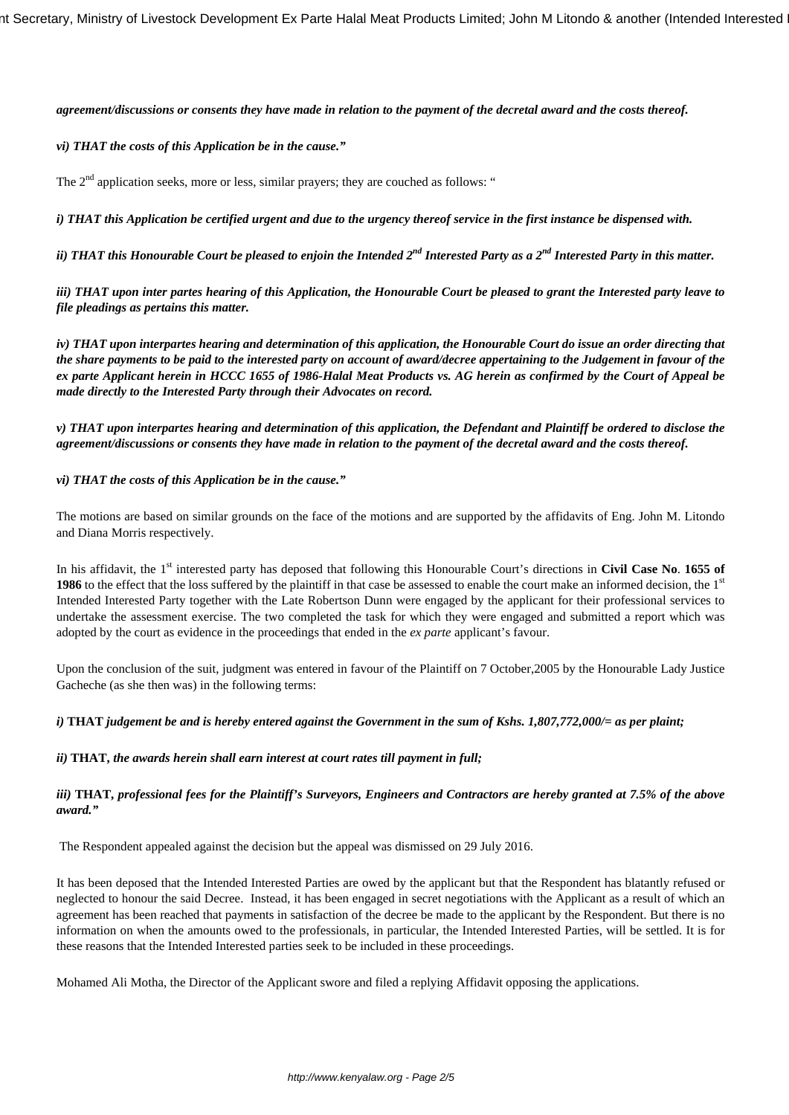#### *agreement/discussions or consents they have made in relation to the payment of the decretal award and the costs thereof.*

#### *vi) THAT the costs of this Application be in the cause."*

The  $2<sup>nd</sup>$  application seeks, more or less, similar prayers; they are couched as follows: "

*i) THAT this Application be certified urgent and due to the urgency thereof service in the first instance be dispensed with.*

*ii) THAT this Honourable Court be pleased to enjoin the Intended 2nd Interested Party as a 2nd Interested Party in this matter.*

*iii) THAT upon inter partes hearing of this Application, the Honourable Court be pleased to grant the Interested party leave to file pleadings as pertains this matter.*

*iv) THAT upon interpartes hearing and determination of this application, the Honourable Court do issue an order directing that the share payments to be paid to the interested party on account of award/decree appertaining to the Judgement in favour of the ex parte Applicant herein in HCCC 1655 of 1986-Halal Meat Products vs. AG herein as confirmed by the Court of Appeal be made directly to the Interested Party through their Advocates on record.*

*v) THAT upon interpartes hearing and determination of this application, the Defendant and Plaintiff be ordered to disclose the agreement/discussions or consents they have made in relation to the payment of the decretal award and the costs thereof.*

#### *vi) THAT the costs of this Application be in the cause."*

The motions are based on similar grounds on the face of the motions and are supported by the affidavits of Eng. John M. Litondo and Diana Morris respectively.

In his affidavit, the 1<sup>st</sup> interested party has deposed that following this Honourable Court's directions in **Civil Case No. 1655 of 1986** to the effect that the loss suffered by the plaintiff in that case be assessed to enable the court make an informed decision, the 1<sup>st</sup> Intended Interested Party together with the Late Robertson Dunn were engaged by the applicant for their professional services to undertake the assessment exercise. The two completed the task for which they were engaged and submitted a report which was adopted by the court as evidence in the proceedings that ended in the *ex parte* applicant's favour.

Upon the conclusion of the suit, judgment was entered in favour of the Plaintiff on 7 October,2005 by the Honourable Lady Justice Gacheche (as she then was) in the following terms:

#### *i)* **THAT** *judgement be and is hereby entered against the Government in the sum of Kshs. 1,807,772,000/= as per plaint;*

#### *ii)* **THAT,** *the awards herein shall earn interest at court rates till payment in full;*

*iii)* **THAT,** *professional fees for the Plaintiff's Surveyors, Engineers and Contractors are hereby granted at 7.5% of the above award."*

The Respondent appealed against the decision but the appeal was dismissed on 29 July 2016.

It has been deposed that the Intended Interested Parties are owed by the applicant but that the Respondent has blatantly refused or neglected to honour the said Decree. Instead, it has been engaged in secret negotiations with the Applicant as a result of which an agreement has been reached that payments in satisfaction of the decree be made to the applicant by the Respondent. But there is no information on when the amounts owed to the professionals, in particular, the Intended Interested Parties, will be settled. It is for these reasons that the Intended Interested parties seek to be included in these proceedings.

Mohamed Ali Motha, the Director of the Applicant swore and filed a replying Affidavit opposing the applications.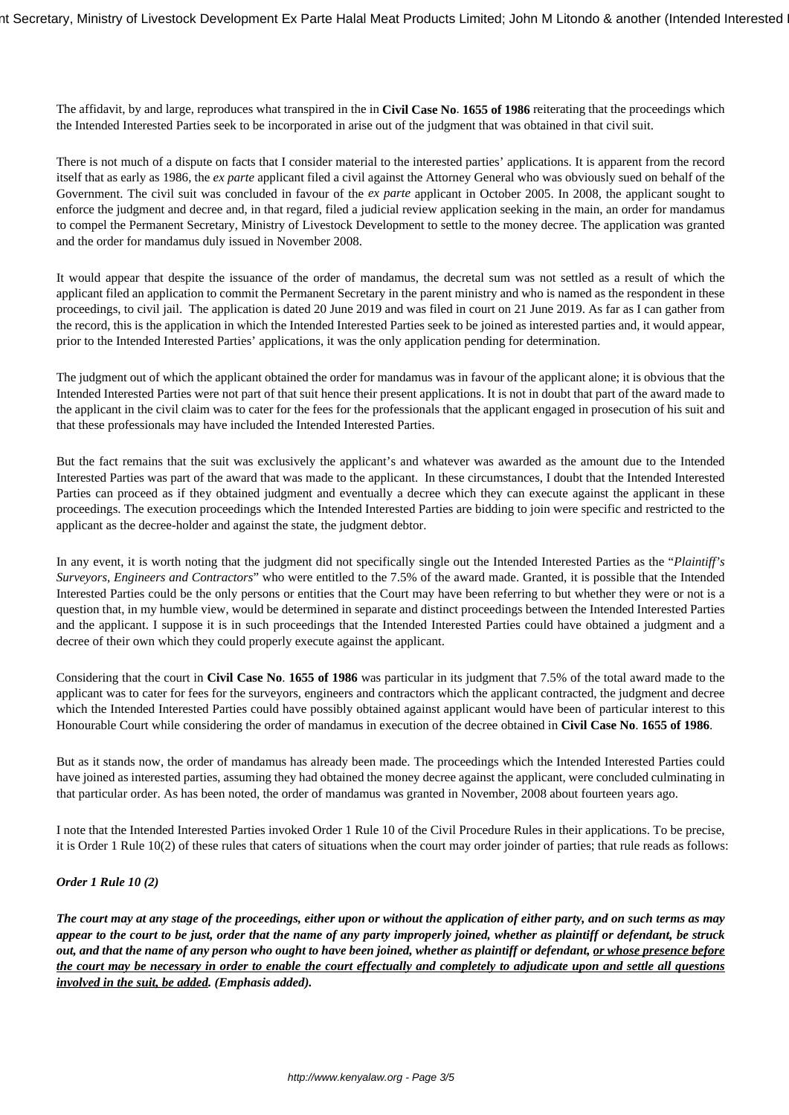The affidavit, by and large, reproduces what transpired in the in **Civil Case No**. **1655 of 1986** reiterating that the proceedings which the Intended Interested Parties seek to be incorporated in arise out of the judgment that was obtained in that civil suit.

There is not much of a dispute on facts that I consider material to the interested parties' applications. It is apparent from the record itself that as early as 1986, the *ex parte* applicant filed a civil against the Attorney General who was obviously sued on behalf of the Government. The civil suit was concluded in favour of the *ex parte* applicant in October 2005. In 2008, the applicant sought to enforce the judgment and decree and, in that regard, filed a judicial review application seeking in the main, an order for mandamus to compel the Permanent Secretary, Ministry of Livestock Development to settle to the money decree. The application was granted and the order for mandamus duly issued in November 2008.

It would appear that despite the issuance of the order of mandamus, the decretal sum was not settled as a result of which the applicant filed an application to commit the Permanent Secretary in the parent ministry and who is named as the respondent in these proceedings, to civil jail. The application is dated 20 June 2019 and was filed in court on 21 June 2019. As far as I can gather from the record, this is the application in which the Intended Interested Parties seek to be joined as interested parties and, it would appear, prior to the Intended Interested Parties' applications, it was the only application pending for determination.

The judgment out of which the applicant obtained the order for mandamus was in favour of the applicant alone; it is obvious that the Intended Interested Parties were not part of that suit hence their present applications. It is not in doubt that part of the award made to the applicant in the civil claim was to cater for the fees for the professionals that the applicant engaged in prosecution of his suit and that these professionals may have included the Intended Interested Parties.

But the fact remains that the suit was exclusively the applicant's and whatever was awarded as the amount due to the Intended Interested Parties was part of the award that was made to the applicant. In these circumstances, I doubt that the Intended Interested Parties can proceed as if they obtained judgment and eventually a decree which they can execute against the applicant in these proceedings. The execution proceedings which the Intended Interested Parties are bidding to join were specific and restricted to the applicant as the decree-holder and against the state, the judgment debtor.

In any event, it is worth noting that the judgment did not specifically single out the Intended Interested Parties as the "*Plaintiff's Surveyors, Engineers and Contractors*" who were entitled to the 7.5% of the award made. Granted, it is possible that the Intended Interested Parties could be the only persons or entities that the Court may have been referring to but whether they were or not is a question that, in my humble view, would be determined in separate and distinct proceedings between the Intended Interested Parties and the applicant. I suppose it is in such proceedings that the Intended Interested Parties could have obtained a judgment and a decree of their own which they could properly execute against the applicant.

Considering that the court in **Civil Case No**. **1655 of 1986** was particular in its judgment that 7.5% of the total award made to the applicant was to cater for fees for the surveyors, engineers and contractors which the applicant contracted, the judgment and decree which the Intended Interested Parties could have possibly obtained against applicant would have been of particular interest to this Honourable Court while considering the order of mandamus in execution of the decree obtained in **Civil Case No**. **1655 of 1986**.

But as it stands now, the order of mandamus has already been made. The proceedings which the Intended Interested Parties could have joined as interested parties, assuming they had obtained the money decree against the applicant, were concluded culminating in that particular order. As has been noted, the order of mandamus was granted in November, 2008 about fourteen years ago.

I note that the Intended Interested Parties invoked Order 1 Rule 10 of the Civil Procedure Rules in their applications. To be precise, it is Order 1 Rule 10(2) of these rules that caters of situations when the court may order joinder of parties; that rule reads as follows:

#### *Order 1 Rule 10 (2)*

*The court may at any stage of the proceedings, either upon or without the application of either party, and on such terms as may appear to the court to be just, order that the name of any party improperly joined, whether as plaintiff or defendant, be struck out, and that the name of any person who ought to have been joined, whether as plaintiff or defendant, or whose presence before the court may be necessary in order to enable the court effectually and completely to adjudicate upon and settle all questions involved in the suit, be added. (Emphasis added).*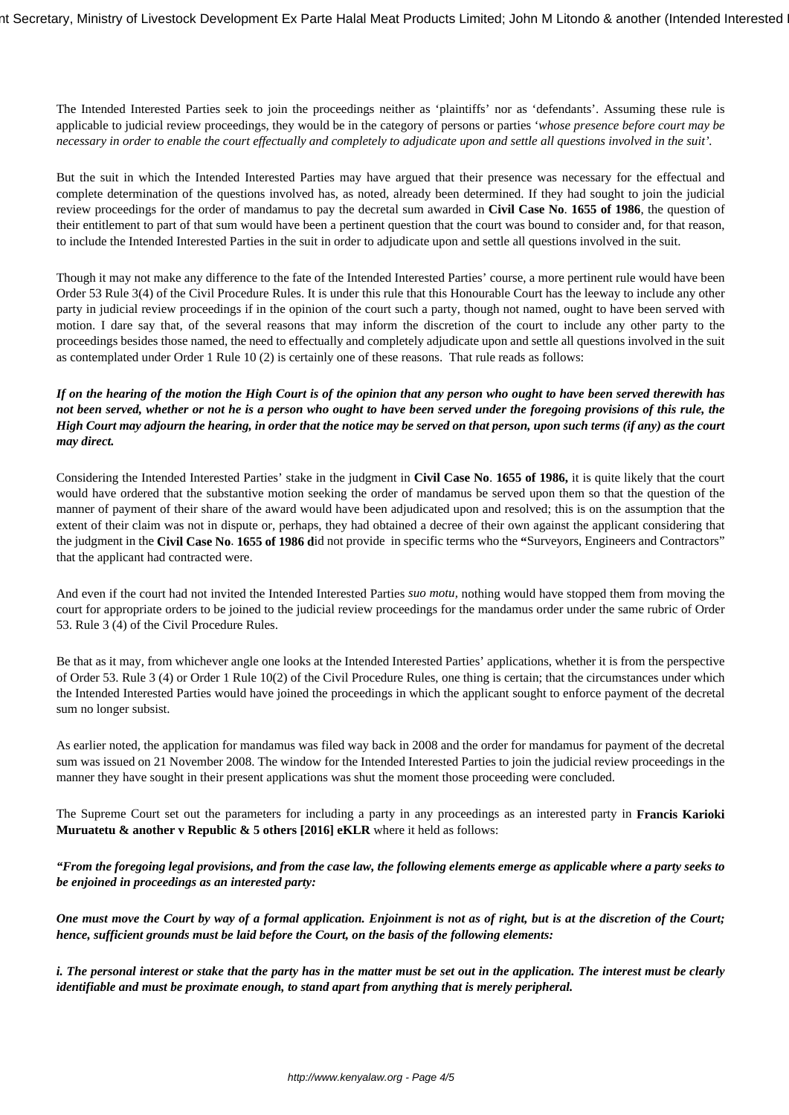The Intended Interested Parties seek to join the proceedings neither as 'plaintiffs' nor as 'defendants'. Assuming these rule is applicable to judicial review proceedings, they would be in the category of persons or parties '*whose presence before court may be necessary in order to enable the court effectually and completely to adjudicate upon and settle all questions involved in the suit'.* 

But the suit in which the Intended Interested Parties may have argued that their presence was necessary for the effectual and complete determination of the questions involved has, as noted, already been determined. If they had sought to join the judicial review proceedings for the order of mandamus to pay the decretal sum awarded in **Civil Case No**. **1655 of 1986**, the question of their entitlement to part of that sum would have been a pertinent question that the court was bound to consider and, for that reason, to include the Intended Interested Parties in the suit in order to adjudicate upon and settle all questions involved in the suit.

Though it may not make any difference to the fate of the Intended Interested Parties' course, a more pertinent rule would have been Order 53 Rule 3(4) of the Civil Procedure Rules. It is under this rule that this Honourable Court has the leeway to include any other party in judicial review proceedings if in the opinion of the court such a party, though not named, ought to have been served with motion. I dare say that, of the several reasons that may inform the discretion of the court to include any other party to the proceedings besides those named, the need to effectually and completely adjudicate upon and settle all questions involved in the suit as contemplated under Order 1 Rule 10 (2) is certainly one of these reasons. That rule reads as follows:

#### *If on the hearing of the motion the High Court is of the opinion that any person who ought to have been served therewith has not been served, whether or not he is a person who ought to have been served under the foregoing provisions of this rule, the High Court may adjourn the hearing, in order that the notice may be served on that person, upon such terms (if any) as the court may direct.*

Considering the Intended Interested Parties' stake in the judgment in **Civil Case No**. **1655 of 1986,** it is quite likely that the court would have ordered that the substantive motion seeking the order of mandamus be served upon them so that the question of the manner of payment of their share of the award would have been adjudicated upon and resolved; this is on the assumption that the extent of their claim was not in dispute or, perhaps, they had obtained a decree of their own against the applicant considering that the judgment in the **Civil Case No**. **1655 of 1986 d**id not provide in specific terms who the **"**Surveyors, Engineers and Contractors" that the applicant had contracted were.

And even if the court had not invited the Intended Interested Parties *suo motu,* nothing would have stopped them from moving the court for appropriate orders to be joined to the judicial review proceedings for the mandamus order under the same rubric of Order 53. Rule 3 (4) of the Civil Procedure Rules.

Be that as it may, from whichever angle one looks at the Intended Interested Parties' applications, whether it is from the perspective of Order 53. Rule 3 (4) or Order 1 Rule 10(2) of the Civil Procedure Rules, one thing is certain; that the circumstances under which the Intended Interested Parties would have joined the proceedings in which the applicant sought to enforce payment of the decretal sum no longer subsist.

As earlier noted, the application for mandamus was filed way back in 2008 and the order for mandamus for payment of the decretal sum was issued on 21 November 2008. The window for the Intended Interested Parties to join the judicial review proceedings in the manner they have sought in their present applications was shut the moment those proceeding were concluded.

The Supreme Court set out the parameters for including a party in any proceedings as an interested party in **Francis Karioki Muruatetu & another v Republic & 5 others [2016] eKLR** where it held as follows:

*"From the foregoing legal provisions, and from the case law, the following elements emerge as applicable where a party seeks to be enjoined in proceedings as an interested party:*

*One must move the Court by way of a formal application. Enjoinment is not as of right, but is at the discretion of the Court; hence, sufficient grounds must be laid before the Court, on the basis of the following elements:*

*i. The personal interest or stake that the party has in the matter must be set out in the application. The interest must be clearly identifiable and must be proximate enough, to stand apart from anything that is merely peripheral.*